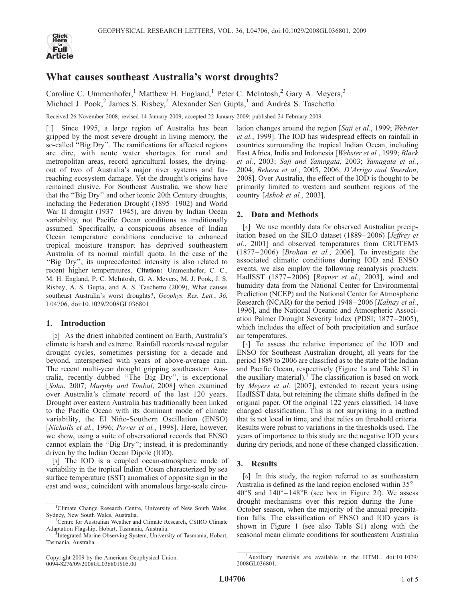

# What causes southeast Australia's worst droughts?

Caroline C. Ummenhofer,<sup>1</sup> Matthew H. England,<sup>1</sup> Peter C. McIntosh,<sup>2</sup> Gary A. Meyers,<sup>3</sup> Michael J. Pook,<sup>2</sup> James S. Risbey,<sup>2</sup> Alexander Sen Gupta,<sup>1</sup> and Andréa S. Taschetto<sup>1</sup>

Received 26 November 2008; revised 14 January 2009; accepted 22 January 2009; published 24 February 2009.

[1] Since 1995, a large region of Australia has been gripped by the most severe drought in living memory, the so-called ''Big Dry''. The ramifications for affected regions are dire, with acute water shortages for rural and metropolitan areas, record agricultural losses, the dryingout of two of Australia's major river systems and farreaching ecosystem damage. Yet the drought's origins have remained elusive. For Southeast Australia, we show here that the ''Big Dry'' and other iconic 20th Century droughts, including the Federation Drought (1895 –1902) and World War II drought (1937–1945), are driven by Indian Ocean variability, not Pacific Ocean conditions as traditionally assumed. Specifically, a conspicuous absence of Indian Ocean temperature conditions conducive to enhanced tropical moisture transport has deprived southeastern Australia of its normal rainfall quota. In the case of the ''Big Dry'', its unprecedented intensity is also related to recent higher temperatures. Citation: Ummenhofer, C. C., M. H. England, P. C. McIntosh, G. A. Meyers, M. J. Pook, J. S. Risbey, A. S. Gupta, and A. S. Taschetto (2009), What causes southeast Australia's worst droughts?, Geophys. Res. Lett., 36, L04706, doi:10.1029/2008GL036801.

### 1. Introduction

[2] As the driest inhabited continent on Earth, Australia's climate is harsh and extreme. Rainfall records reveal regular drought cycles, sometimes persisting for a decade and beyond, interspersed with years of above-average rain. The recent multi-year drought gripping southeastern Australia, recently dubbed ''The Big Dry'', is exceptional [Sohn, 2007; Murphy and Timbal, 2008] when examined over Australia's climate record of the last 120 years. Drought over eastern Australia has traditionally been linked to the Pacific Ocean with its dominant mode of climate variability, the El Niño-Southern Oscillation (ENSO) [Nicholls et al., 1996; Power et al., 1998]. Here, however, we show, using a suite of observational records that ENSO cannot explain the ''Big Dry''; instead, it is predominantly driven by the Indian Ocean Dipole (IOD).

[3] The IOD is a coupled ocean-atmosphere mode of variability in the tropical Indian Ocean characterized by sea surface temperature (SST) anomalies of opposite sign in the east and west, coincident with anomalous large-scale circulation changes around the region [Saji et al., 1999; Webster et al., 1999]. The IOD has widespread effects on rainfall in countries surrounding the tropical Indian Ocean, including East Africa, India and Indonesia [Webster et al., 1999; Black et al., 2003; Saji and Yamagata, 2003; Yamagata et al., 2004; Behera et al., 2005, 2006; D'Arrigo and Smerdon, 2008]. Over Australia, the effect of the IOD is thought to be primarily limited to western and southern regions of the country [Ashok et al., 2003].

## 2. Data and Methods

[4] We use monthly data for observed Australian precipitation based on the SILO dataset (1889–2006) [Jeffrey et al., 2001] and observed temperatures from CRUTEM3  $(1877 - 2006)$  [*Brohan et al.*, 2006]. To investigate the associated climatic conditions during IOD and ENSO events, we also employ the following reanalysis products: HadISST (1877-2006) [Rayner et al., 2003], wind and humidity data from the National Center for Environmental Prediction (NCEP) and the National Center for Atmospheric Research (NCAR) for the period 1948–2006 [Kalnay et al., 1996], and the National Oceanic and Atmospheric Association Palmer Drought Severity Index (PDSI; 1877 – 2005), which includes the effect of both precipitation and surface air temperatures.

[5] To assess the relative importance of the IOD and ENSO for Southeast Australian drought, all years for the period 1889 to 2006 are classified as to the state of the Indian and Pacific Ocean, respectively (Figure 1a and Table S1 in the auxiliary material).<sup>1</sup> The classification is based on work by Meyers et al. [2007], extended to recent years using HadISST data, but retaining the climate shifts defined in the original paper. Of the original 122 years classified, 14 have changed classification. This is not surprising in a method that is not local in time, and that relies on threshold criteria. Results were robust to variations in the thresholds used. The years of importance to this study are the negative IOD years during dry periods, and none of these changed classification.

# 3. Results

[6] In this study, the region referred to as southeastern Australia is defined as the land region enclosed within  $35^\circ$  –  $40^{\circ}$ S and  $140^{\circ} - 148^{\circ}$ E (see box in Figure 2f). We assess drought mechanisms over this region during the June – October season, when the majority of the annual precipitation falls. The classification of ENSO and IOD years is shown in Figure 1 (see also Table S1) along with the seasonal mean climate conditions for southeastern Australia

<sup>&</sup>lt;sup>1</sup>Climate Change Research Centre, University of New South Wales, Sydney, New South Wales, Australia. <sup>2</sup>

<sup>&</sup>lt;sup>2</sup>Centre for Australian Weather and Climate Research, CSIRO Climate Adaptation Flagship, Hobart, Tasmania, Australia. <sup>3</sup>

Integrated Marine Observing System, University of Tasmania, Hobart, Tasmania, Australia.

Copyright 2009 by the American Geophysical Union. 0094-8276/09/2008GL036801\$05.00

<sup>&</sup>lt;sup>1</sup>Auxiliary materials are available in the HTML. doi:10.1029/ 2008GL036801.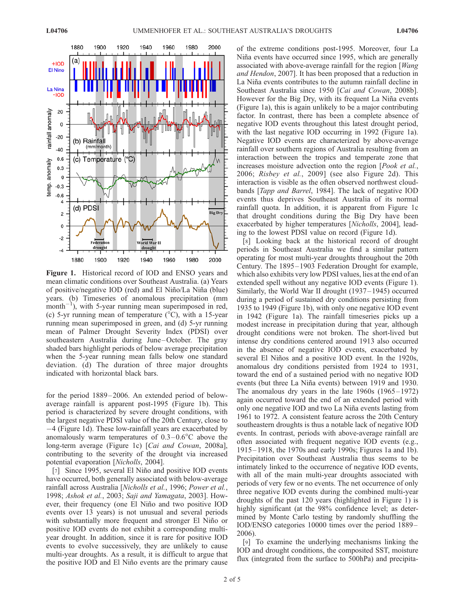

Figure 1. Historical record of IOD and ENSO years and mean climatic conditions over Southeast Australia. (a) Years of positive/negative IOD (red) and El Niño/La Niña (blue) years. (b) Timeseries of anomalous precipitation (mm month<sup>-1</sup>), with 5-year running mean superimposed in red, (c) 5-yr running mean of temperature  $({}^{\circ}C)$ , with a 15-year running mean superimposed in green, and (d) 5-yr running mean of Palmer Drought Severity Index (PDSI) over southeastern Australia during June-October. The gray shaded bars highlight periods of below average precipitation when the 5-year running mean falls below one standard deviation. (d) The duration of three major droughts indicated with horizontal black bars.

for the period 1889–2006. An extended period of belowaverage rainfall is apparent post-1995 (Figure 1b). This period is characterized by severe drought conditions, with the largest negative PDSI value of the 20th Century, close to 4 (Figure 1d). These low-rainfall years are exacerbated by anomalously warm temperatures of  $0.3-0.6^{\circ}$ C above the long-term average (Figure 1c) [Cai and Cowan, 2008a], contributing to the severity of the drought via increased potential evaporation [Nicholls, 2004].

[7] Since 1995, several El Niño and positive IOD events have occurred, both generally associated with below-average rainfall across Australia [Nicholls et al., 1996; Power et al., 1998; Ashok et al., 2003; Saji and Yamagata, 2003]. However, their frequency (one El Niño and two positive IOD events over 13 years) is not unusual and several periods with substantially more frequent and stronger El Niño or positive IOD events do not exhibit a corresponding multiyear drought. In addition, since it is rare for positive IOD events to evolve successively, they are unlikely to cause multi-year droughts. As a result, it is difficult to argue that the positive IOD and El Niño events are the primary cause

of the extreme conditions post-1995. Moreover, four La Niña events have occurred since 1995, which are generally associated with above-average rainfall for the region [Wang and Hendon, 2007]. It has been proposed that a reduction in La Niña events contributes to the autumn rainfall decline in Southeast Australia since 1950 [Cai and Cowan, 2008b]. However for the Big Dry, with its frequent La Niña events (Figure 1a), this is again unlikely to be a major contributing factor. In contrast, there has been a complete absence of negative IOD events throughout this latest drought period, with the last negative IOD occurring in 1992 (Figure 1a). Negative IOD events are characterized by above-average rainfall over southern regions of Australia resulting from an interaction between the tropics and temperate zone that increases moisture advection onto the region [Pook et al., 2006; Risbey et al., 2009] (see also Figure 2d). This interaction is visible as the often observed northwest cloudbands [Tapp and Barrel, 1984]. The lack of negative IOD events thus deprives Southeast Australia of its normal rainfall quota. In addition, it is apparent from Figure 1c that drought conditions during the Big Dry have been exacerbated by higher temperatures [Nicholls, 2004], leading to the lowest PDSI value on record (Figure 1d).

[8] Looking back at the historical record of drought periods in Southeast Australia we find a similar pattern operating for most multi-year droughts throughout the 20th Century. The 1895–1903 Federation Drought for example, which also exhibits very low PDSI values, lies at the end of an extended spell without any negative IOD events (Figure 1). Similarly, the World War II drought (1937–1945) occurred during a period of sustained dry conditions persisting from 1935 to 1949 (Figure 1b), with only one negative IOD event in 1942 (Figure 1a). The rainfall timeseries picks up a modest increase in precipitation during that year, although drought conditions were not broken. The short-lived but intense dry conditions centered around 1913 also occurred in the absence of negative IOD events, exacerbated by several El Niños and a positive IOD event. In the 1920s, anomalous dry conditions persisted from 1924 to 1931, toward the end of a sustained period with no negative IOD events (but three La Niña events) between 1919 and 1930. The anomalous dry years in the late  $1960s$  (1965 – 1972) again occurred toward the end of an extended period with only one negative IOD and two La Niña events lasting from 1961 to 1972. A consistent feature across the 20th Century southeastern droughts is thus a notable lack of negative IOD events. In contrast, periods with above-average rainfall are often associated with frequent negative IOD events (e.g., 1915– 1918, the 1970s and early 1990s; Figures 1a and 1b). Precipitation over Southeast Australia thus seems to be intimately linked to the occurrence of negative IOD events, with all of the main multi-year droughts associated with periods of very few or no events. The net occurrence of only three negative IOD events during the combined multi-year droughts of the past 120 years (highlighted in Figure 1) is highly significant (at the 98% confidence level; as determined by Monte Carlo testing by randomly shuffling the IOD/ENSO categories 10000 times over the period 1889– 2006).

[9] To examine the underlying mechanisms linking the IOD and drought conditions, the composited SST, moisture flux (integrated from the surface to 500hPa) and precipita-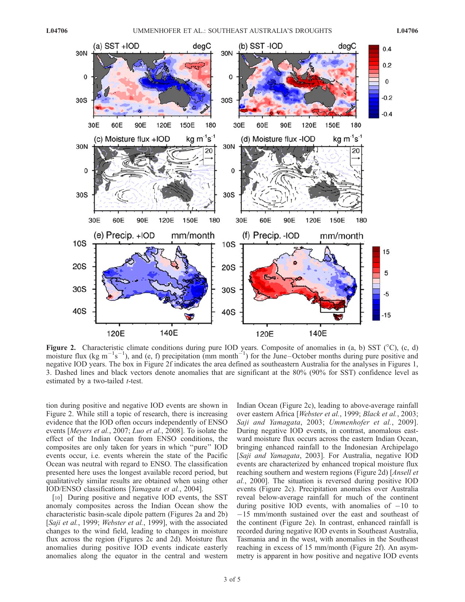

Figure 2. Characteristic climate conditions during pure IOD years. Composite of anomalies in (a, b) SST ( $^{\circ}$ C), (c, d) moisture flux (kg m<sup>-1</sup>s<sup>-1</sup>), and (e, f) precipitation (mm month<sup>-1</sup>) for the June-October months during pure positive and negative IOD years. The box in Figure 2f indicates the area defined as southeastern Australia for the analyses in Figures 1, 3. Dashed lines and black vectors denote anomalies that are significant at the 80% (90% for SST) confidence level as estimated by a two-tailed *t*-test.

tion during positive and negative IOD events are shown in Figure 2. While still a topic of research, there is increasing evidence that the IOD often occurs independently of ENSO events [Meyers et al., 2007; Luo et al., 2008]. To isolate the effect of the Indian Ocean from ENSO conditions, the composites are only taken for years in which ''pure'' IOD events occur, i.e. events wherein the state of the Pacific Ocean was neutral with regard to ENSO. The classification presented here uses the longest available record period, but qualitatively similar results are obtained when using other IOD/ENSO classifications [Yamagata et al., 2004].

[10] During positive and negative IOD events, the SST anomaly composites across the Indian Ocean show the characteristic basin-scale dipole pattern (Figures 2a and 2b) [Saji et al., 1999; Webster et al., 1999], with the associated changes to the wind field, leading to changes in moisture flux across the region (Figures 2c and 2d). Moisture flux anomalies during positive IOD events indicate easterly anomalies along the equator in the central and western Indian Ocean (Figure 2c), leading to above-average rainfall over eastern Africa [Webster et al., 1999; Black et al., 2003; Saji and Yamagata, 2003; Ummenhofer et al., 2009]. During negative IOD events, in contrast, anomalous eastward moisture flux occurs across the eastern Indian Ocean, bringing enhanced rainfall to the Indonesian Archipelago [Saji and Yamagata, 2003]. For Australia, negative IOD events are characterized by enhanced tropical moisture flux reaching southern and western regions (Figure 2d) [Ansell et al., 2000]. The situation is reversed during positive IOD events (Figure 2c). Precipitation anomalies over Australia reveal below-average rainfall for much of the continent during positive IOD events, with anomalies of  $-10$  to  $-15$  mm/month sustained over the east and southeast of the continent (Figure 2e). In contrast, enhanced rainfall is recorded during negative IOD events in Southeast Australia, Tasmania and in the west, with anomalies in the Southeast reaching in excess of 15 mm/month (Figure 2f). An asymmetry is apparent in how positive and negative IOD events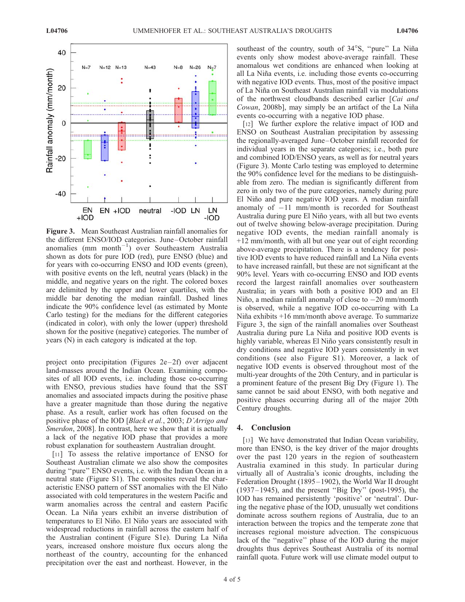

Figure 3. Mean Southeast Australian rainfall anomalies for the different ENSO/IOD categories. June–October rainfall anomalies (mm month<sup>-1</sup>) over Southeastern Australia shown as dots for pure IOD (red), pure ENSO (blue) and for years with co-occurring ENSO and IOD events (green), with positive events on the left, neutral years (black) in the middle, and negative years on the right. The colored boxes are delimited by the upper and lower quartiles, with the middle bar denoting the median rainfall. Dashed lines indicate the 90% confidence level (as estimated by Monte Carlo testing) for the medians for the different categories (indicated in color), with only the lower (upper) threshold shown for the positive (negative) categories. The number of years (N) in each category is indicated at the top.

project onto precipitation (Figures  $2e-2f$ ) over adjacent land-masses around the Indian Ocean. Examining composites of all IOD events, i.e. including those co-occurring with ENSO, previous studies have found that the SST anomalies and associated impacts during the positive phase have a greater magnitude than those during the negative phase. As a result, earlier work has often focused on the positive phase of the IOD [Black et al., 2003; D'Arrigo and Smerdon, 2008]. In contrast, here we show that it is actually a lack of the negative IOD phase that provides a more robust explanation for southeastern Australian drought.

[11] To assess the relative importance of ENSO for Southeast Australian climate we also show the composites during ''pure'' ENSO events, i.e. with the Indian Ocean in a neutral state (Figure S1). The composites reveal the characteristic ENSO pattern of SST anomalies with the El Niño associated with cold temperatures in the western Pacific and warm anomalies across the central and eastern Pacific Ocean. La Niña years exhibit an inverse distribution of temperatures to El Niño. El Niño years are associated with widespread reductions in rainfall across the eastern half of the Australian continent (Figure S1e). During La Niña years, increased onshore moisture flux occurs along the northeast of the country, accounting for the enhanced precipitation over the east and northeast. However, in the

southeast of the country, south of 34°S, "pure" La Niña events only show modest above-average rainfall. These anomalous wet conditions are enhanced when looking at all La Niña events, i.e. including those events co-occurring with negative IOD events. Thus, most of the positive impact of La Niña on Southeast Australian rainfall via modulations of the northwest cloudbands described earlier [Cai and Cowan, 2008b], may simply be an artifact of the La Niña events co-occurring with a negative IOD phase.

[12] We further explore the relative impact of IOD and ENSO on Southeast Australian precipitation by assessing the regionally-averaged June–October rainfall recorded for individual years in the separate categories; i.e., both pure and combined IOD/ENSO years, as well as for neutral years (Figure 3). Monte Carlo testing was employed to determine the 90% confidence level for the medians to be distinguishable from zero. The median is significantly different from zero in only two of the pure categories, namely during pure El Niño and pure negative IOD years. A median rainfall anomaly of  $-11$  mm/month is recorded for Southeast Australia during pure El Niño years, with all but two events out of twelve showing below-average precipitation. During negative IOD events, the median rainfall anomaly is +12 mm/month, with all but one year out of eight recording above-average precipitation. There is a tendency for positive IOD events to have reduced rainfall and La Niña events to have increased rainfall, but these are not significant at the 90% level. Years with co-occurring ENSO and IOD events record the largest rainfall anomalies over southeastern Australia; in years with both a positive IOD and an El Niño, a median rainfall anomaly of close to  $-20$  mm/month is observed, while a negative IOD co-occurring with La Niña exhibits  $+16$  mm/month above average. To summarize Figure 3, the sign of the rainfall anomalies over Southeast Australia during pure La Niña and positive IOD events is highly variable, whereas El Niño years consistently result in dry conditions and negative IOD years consistently in wet conditions (see also Figure S1). Moreover, a lack of negative IOD events is observed throughout most of the multi-year droughts of the 20th Century, and in particular is a prominent feature of the present Big Dry (Figure 1). The same cannot be said about ENSO, with both negative and positive phases occurring during all of the major 20th Century droughts.

### 4. Conclusion

[13] We have demonstrated that Indian Ocean variability, more than ENSO, is the key driver of the major droughts over the past 120 years in the region of southeastern Australia examined in this study. In particular during virtually all of Australia's iconic droughts, including the Federation Drought (1895–1902), the World War II drought (1937– 1945), and the present ''Big Dry'' (post-1995), the IOD has remained persistently 'positive' or 'neutral'. During the negative phase of the IOD, unusually wet conditions dominate across southern regions of Australia, due to an interaction between the tropics and the temperate zone that increases regional moisture advection. The conspicuous lack of the "negative" phase of the IOD during the major droughts thus deprives Southeast Australia of its normal rainfall quota. Future work will use climate model output to